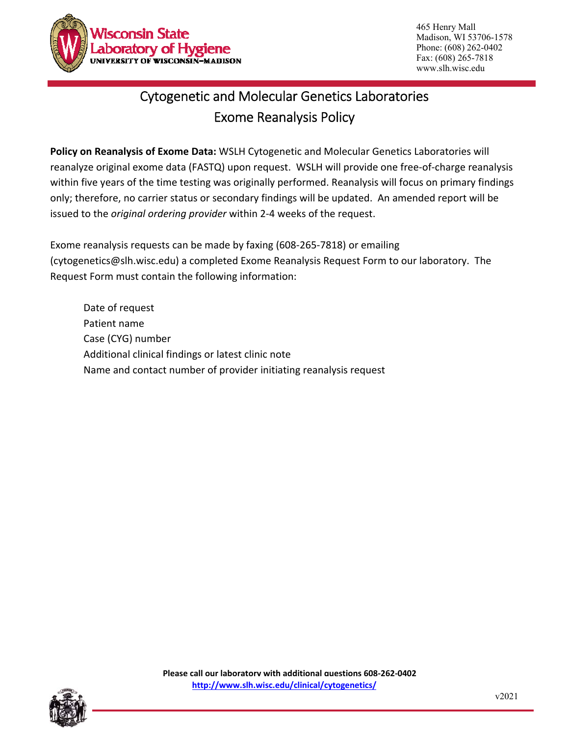

465 Henry Mall Madison, WI 53706-1578 Phone: (608) 262-0402 Fax: (608) 265-7818 www.slh.wisc.edu

## Cytogenetic and Molecular Genetics Laboratories Exome Reanalysis Policy

**Policy on Reanalysis of Exome Data:** WSLH Cytogenetic and Molecular Genetics Laboratories will reanalyze original exome data (FASTQ) upon request. WSLH will provide one free‐of‐charge reanalysis within five years of the time testing was originally performed. Reanalysis will focus on primary findings only; therefore, no carrier status or secondary findings will be updated. An amended report will be issued to the *original ordering provider* within 2‐4 weeks of the request.

Exome reanalysis requests can be made by faxing (608‐265‐7818) or emailing (cytogenetics@slh.wisc.edu) a completed Exome Reanalysis Request Form to our laboratory. The Request Form must contain the following information:

Date of request Patient name Case (CYG) number Additional clinical findings or latest clinic note Name and contact number of provider initiating reanalysis request